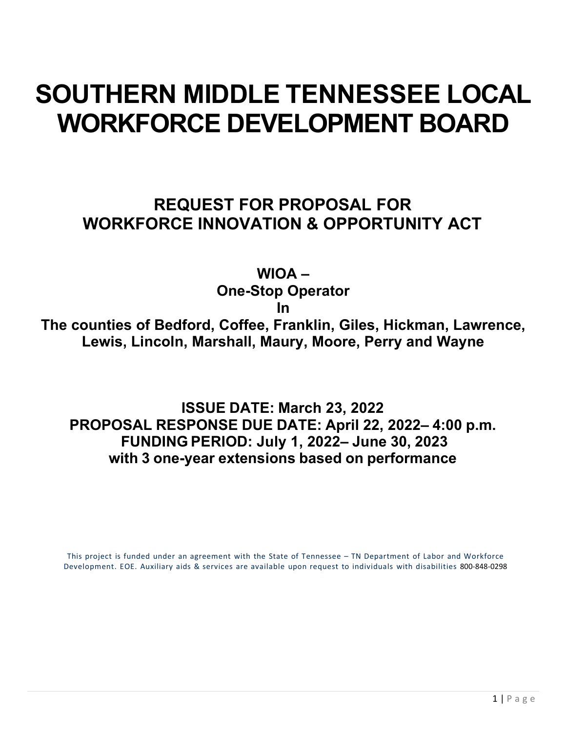# **SOUTHERN MIDDLE TENNESSEE LOCAL WORKFORCE DEVELOPMENT BOARD**

## **REQUEST FOR PROPOSAL FOR WORKFORCE INNOVATION & OPPORTUNITY ACT**

**WIOA –**

**One-Stop Operator** 

**In**

**The counties of Bedford, Coffee, Franklin, Giles, Hickman, Lawrence, Lewis, Lincoln, Marshall, Maury, Moore, Perry and Wayne**

**ISSUE DATE: March 23, 2022 PROPOSAL RESPONSE DUE DATE: April 22, 2022– 4:00 p.m. FUNDING PERIOD: July 1, 2022– June 30, 2023 with 3 one-year extensions based on performance**

This project is funded under an agreement with the State of Tennessee – TN Department of Labor and Workforce Development. EOE. Auxiliary aids & services are available upon request to individuals with disabilities 800-848-0298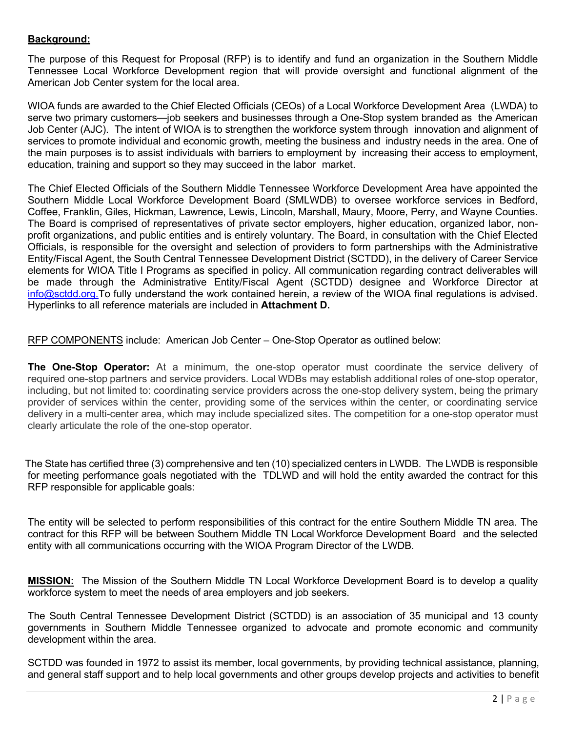#### **Background:**

The purpose of this Request for Proposal (RFP) is to identify and fund an organization in the Southern Middle Tennessee Local Workforce Development region that will provide oversight and functional alignment of the American Job Center system for the local area.

WIOA funds are awarded to the Chief Elected Officials (CEOs) of a Local Workforce Development Area (LWDA) to serve two primary customers—job seekers and businesses through a One-Stop system branded as the American Job Center (AJC). The intent of WIOA is to strengthen the workforce system through innovation and alignment of services to promote individual and economic growth, meeting the business and industry needs in the area. One of the main purposes is to assist individuals with barriers to employment by increasing their access to employment, education, training and support so they may succeed in the labor market.

The Chief Elected Officials of the Southern Middle Tennessee Workforce Development Area have appointed the Southern Middle Local Workforce Development Board (SMLWDB) to oversee workforce services in Bedford, Coffee, Franklin, Giles, Hickman, Lawrence, Lewis, Lincoln, Marshall, Maury, Moore, Perry, and Wayne Counties. The Board is comprised of representatives of private sector employers, higher education, organized labor, nonprofit organizations, and public entities and is entirely voluntary. The Board, in consultation with the Chief Elected Officials, is responsible for the oversight and selection of providers to form partnerships with the Administrative Entity/Fiscal Agent, the South Central Tennessee Development District (SCTDD), in the delivery of Career Service elements for WIOA Title I Programs as specified in policy. All communication regarding contract deliverables will be made through the Administrative Entity/Fiscal Agent (SCTDD) designee and Workforce Director at [info@sctdd.org.](mailto:info@sctdd.org)To fully understand the work contained herein, a review of the WIOA final regulations is advised. Hyperlinks to all reference materials are included in **Attachment D.** 

RFP COMPONENTS include: American Job Center - One-Stop Operator as outlined below:

**The One-Stop Operator:** At a minimum, the one-stop operator must coordinate the service delivery of required one-stop partners and service providers. [Local WDBs](https://www.law.cornell.edu/definitions/index.php?width=840&height=800&iframe=true&def_id=6f668ef49abc1e8a3f0f1f93f7a15a8a&term_occur=999&term_src=Title:20:Chapter:V:Part:678:Subpart:D:678.620) may establish additional roles of one-stop operator, including, but not limited to: coordinating service providers across the [one-stop delivery system,](https://www.law.cornell.edu/definitions/index.php?width=840&height=800&iframe=true&def_id=661d99e99265145cab8f99fb1042d463&term_occur=999&term_src=Title:20:Chapter:V:Part:678:Subpart:D:678.620) being the primary provider of services within the center, providing some of the services within the center, or coordinating service delivery in a multi-center area, which may include specialized sites. The competition for a one-stop operator must clearly articulate the role of the one-stop operator.

The State has certified three (3) comprehensive and ten (10) specialized centers in LWDB. The LWDB is responsible for meeting performance goals negotiated with the TDLWD and will hold the entity awarded the contract for this RFP responsible for applicable goals:

The entity will be selected to perform responsibilities of this contract for the entire Southern Middle TN area. The contract for this RFP will be between Southern Middle TN Local Workforce Development Board and the selected entity with all communications occurring with the WIOA Program Director of the LWDB.

**MISSION:**The Mission of the Southern Middle TN Local Workforce Development Board is to develop a quality workforce system to meet the needs of area employers and job seekers.

The South Central Tennessee Development District (SCTDD) is an association of 35 municipal and 13 county governments in Southern Middle Tennessee organized to advocate and promote economic and community development within the area.

SCTDD was founded in 1972 to assist its member, local governments, by providing technical assistance, planning, and general staff support and to help local governments and other groups develop projects and activities to benefit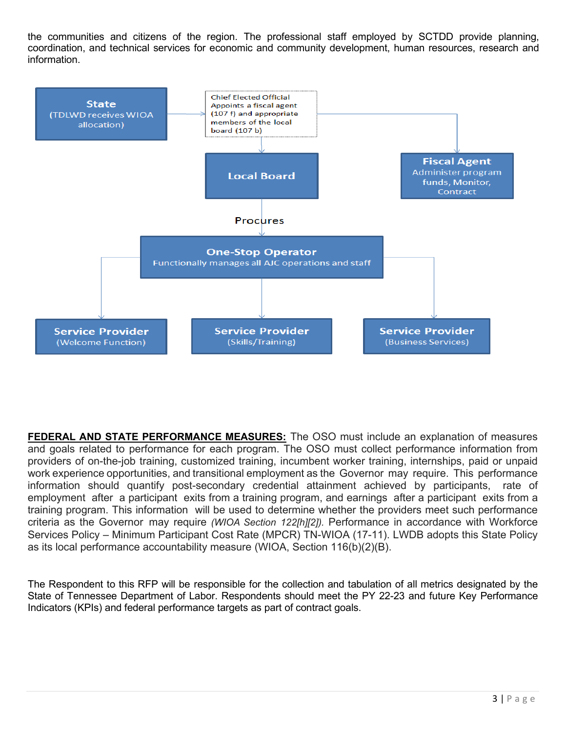the communities and citizens of the region. The professional staff employed by SCTDD provide planning, coordination, and technical services for economic and community development, human resources, research and information.



**FEDERAL AND STATE PERFORMANCE MEASURES:** The OSO must include an explanation of measures and goals related to performance for each program. The OSO must collect performance information from providers of on-the-job training, customized training, incumbent worker training, internships, paid or unpaid work experience opportunities, and transitional employment as the Governor may require. This performance information should quantify post-secondary credential attainment achieved by participants, rate of employment after a participant exits from a training program, and earnings after a participant exits from a training program. This information will be used to determine whether the providers meet such performance criteria as the Governor may require *(WIOA Section 122[h][2]).* Performance in accordance with Workforce Services Policy – Minimum Participant Cost Rate (MPCR) TN-WIOA (17-11). LWDB adopts this State Policy as its local performance accountability measure (WIOA, Section 116(b)(2)(B).

The Respondent to this RFP will be responsible for the collection and tabulation of all metrics designated by the State of Tennessee Department of Labor. Respondents should meet the PY 22-23 and future Key Performance Indicators (KPIs) and federal performance targets as part of contract goals.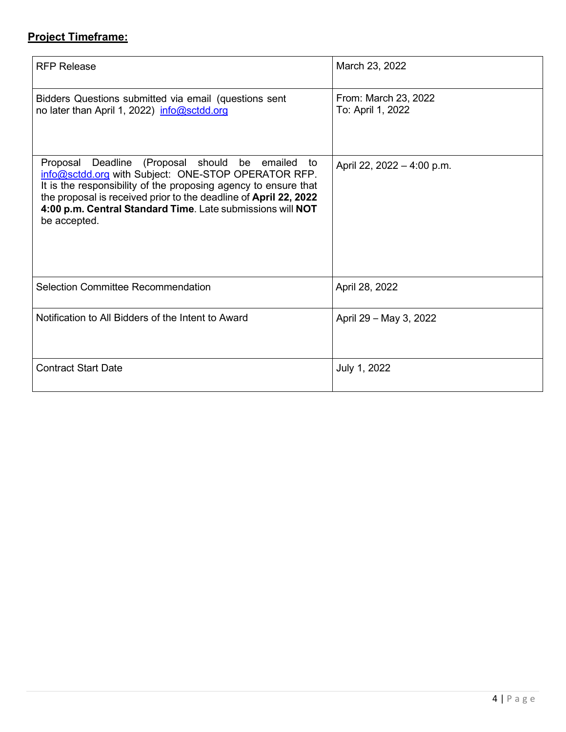## **Project Timeframe:**

| <b>RFP Release</b>                                                                                                                                                                                                                                                                                                                 | March 23, 2022                            |
|------------------------------------------------------------------------------------------------------------------------------------------------------------------------------------------------------------------------------------------------------------------------------------------------------------------------------------|-------------------------------------------|
| Bidders Questions submitted via email (questions sent<br>no later than April 1, 2022) info@sctdd.org                                                                                                                                                                                                                               | From: March 23, 2022<br>To: April 1, 2022 |
| Deadline (Proposal should be emailed<br>Proposal<br>to<br>info@sctdd.org with Subject: ONE-STOP OPERATOR RFP.<br>It is the responsibility of the proposing agency to ensure that<br>the proposal is received prior to the deadline of April 22, 2022<br>4:00 p.m. Central Standard Time. Late submissions will NOT<br>be accepted. | April 22, 2022 - 4:00 p.m.                |
| <b>Selection Committee Recommendation</b>                                                                                                                                                                                                                                                                                          | April 28, 2022                            |
| Notification to All Bidders of the Intent to Award                                                                                                                                                                                                                                                                                 | April 29 - May 3, 2022                    |
| <b>Contract Start Date</b>                                                                                                                                                                                                                                                                                                         | July 1, 2022                              |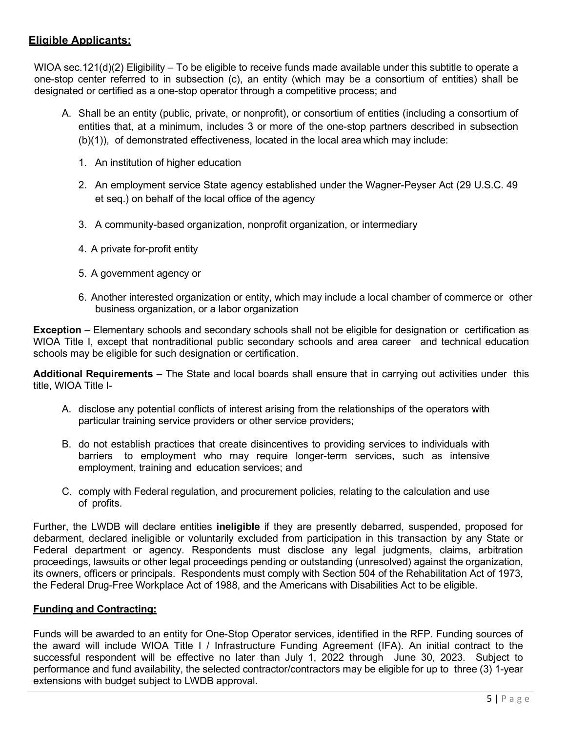#### **Eligible Applicants:**

WIOA sec.121(d)(2) Eligibility – To be eligible to receive funds made available under this subtitle to operate a one-stop center referred to in subsection (c), an entity (which may be a consortium of entities) shall be designated or certified as a one-stop operator through a competitive process; and

- A. Shall be an entity (public, private, or nonprofit), or consortium of entities (including a consortium of entities that, at a minimum, includes 3 or more of the one-stop partners described in subsection (b)(1)), of demonstrated effectiveness, located in the local area which may include:
	- 1. An institution of higher education
	- 2. An employment service State agency established under the Wagner-Peyser Act (29 U.S.C. 49 et seq.) on behalf of the local office of the agency
	- 3. A community-based organization, nonprofit organization, or intermediary
	- 4. A private for-profit entity
	- 5. A government agency or
	- 6. Another interested organization or entity, which may include a local chamber of commerce or other business organization, or a labor organization

**Exception** – Elementary schools and secondary schools shall not be eligible for designation or certification as WIOA Title I, except that nontraditional public secondary schools and area career and technical education schools may be eligible for such designation or certification.

**Additional Requirements** – The State and local boards shall ensure that in carrying out activities under this title, WIOA Title I-

- A. disclose any potential conflicts of interest arising from the relationships of the operators with particular training service providers or other service providers;
- B. do not establish practices that create disincentives to providing services to individuals with barriers to employment who may require longer-term services, such as intensive employment, training and education services; and
- C. comply with Federal regulation, and procurement policies, relating to the calculation and use of profits.

Further, the LWDB will declare entities **ineligible** if they are presently debarred, suspended, proposed for debarment, declared ineligible or voluntarily excluded from participation in this transaction by any State or Federal department or agency. Respondents must disclose any legal judgments, claims, arbitration proceedings, lawsuits or other legal proceedings pending or outstanding (unresolved) against the organization, its owners, officers or principals. Respondents must comply with Section 504 of the Rehabilitation Act of 1973, the Federal Drug-Free Workplace Act of 1988, and the Americans with Disabilities Act to be eligible.

#### **Funding and Contracting:**

Funds will be awarded to an entity for One-Stop Operator services, identified in the RFP. Funding sources of the award will include WIOA Title I / Infrastructure Funding Agreement (IFA). An initial contract to the successful respondent will be effective no later than July 1, 2022 through June 30, 2023. Subject to performance and fund availability, the selected contractor/contractors may be eligible for up to three (3) 1-year extensions with budget subject to LWDB approval.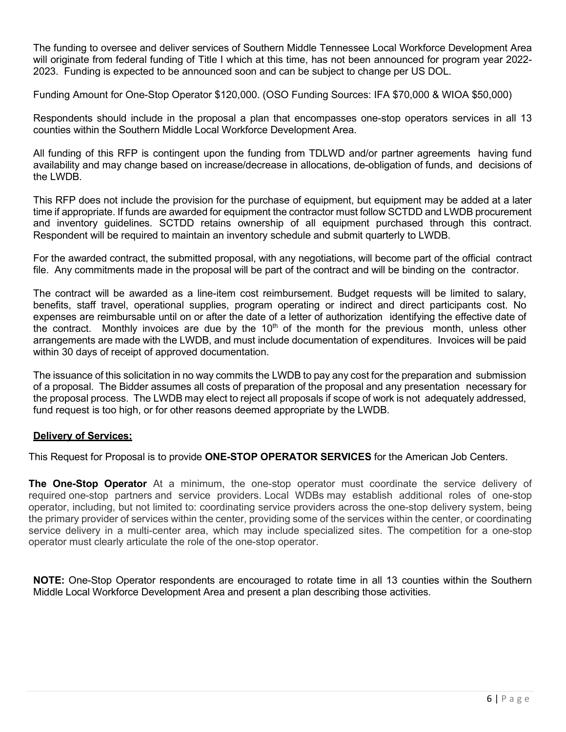The funding to oversee and deliver services of Southern Middle Tennessee Local Workforce Development Area will originate from federal funding of Title I which at this time, has not been announced for program year 2022- 2023. Funding is expected to be announced soon and can be subject to change per US DOL.

Funding Amount for One-Stop Operator \$120,000. (OSO Funding Sources: IFA \$70,000 & WIOA \$50,000)

Respondents should include in the proposal a plan that encompasses one-stop operators services in all 13 counties within the Southern Middle Local Workforce Development Area.

All funding of this RFP is contingent upon the funding from TDLWD and/or partner agreements having fund availability and may change based on increase/decrease in allocations, de-obligation of funds, and decisions of the LWDB.

This RFP does not include the provision for the purchase of equipment, but equipment may be added at a later time if appropriate. If funds are awarded for equipment the contractor must follow SCTDD and LWDB procurement and inventory guidelines. SCTDD retains ownership of all equipment purchased through this contract. Respondent will be required to maintain an inventory schedule and submit quarterly to LWDB.

For the awarded contract, the submitted proposal, with any negotiations, will become part of the official contract file. Any commitments made in the proposal will be part of the contract and will be binding on the contractor.

The contract will be awarded as a line-item cost reimbursement. Budget requests will be limited to salary, benefits, staff travel, operational supplies, program operating or indirect and direct participants cost. No expenses are reimbursable until on or after the date of a letter of authorization identifying the effective date of the contract. Monthly invoices are due by the  $10<sup>th</sup>$  of the month for the previous month, unless other arrangements are made with the LWDB, and must include documentation of expenditures. Invoices will be paid within 30 days of receipt of approved documentation.

The issuance of this solicitation in no way commits the LWDB to pay any cost for the preparation and submission of a proposal. The Bidder assumes all costs of preparation of the proposal and any presentation necessary for the proposal process. The LWDB may elect to reject all proposals if scope of work is not adequately addressed, fund request is too high, or for other reasons deemed appropriate by the LWDB.

#### **Delivery of Services:**

This Request for Proposal is to provide **ONE-STOP OPERATOR SERVICES** for the American Job Centers.

**The One-Stop Operator** At a minimum, the one-stop operator must coordinate the service delivery of required one-stop partners and service providers. [Local WDBs](https://www.law.cornell.edu/definitions/index.php?width=840&height=800&iframe=true&def_id=6f668ef49abc1e8a3f0f1f93f7a15a8a&term_occur=999&term_src=Title:20:Chapter:V:Part:678:Subpart:D:678.620) may establish additional roles of one-stop operator, including, but not limited to: coordinating service providers across the [one-stop delivery system,](https://www.law.cornell.edu/definitions/index.php?width=840&height=800&iframe=true&def_id=661d99e99265145cab8f99fb1042d463&term_occur=999&term_src=Title:20:Chapter:V:Part:678:Subpart:D:678.620) being the primary provider of services within the center, providing some of the services within the center, or coordinating service delivery in a multi-center area, which may include specialized sites. The competition for a one-stop operator must clearly articulate the role of the one-stop operator.

**NOTE:** One-Stop Operator respondents are encouraged to rotate time in all 13 counties within the Southern Middle Local Workforce Development Area and present a plan describing those activities.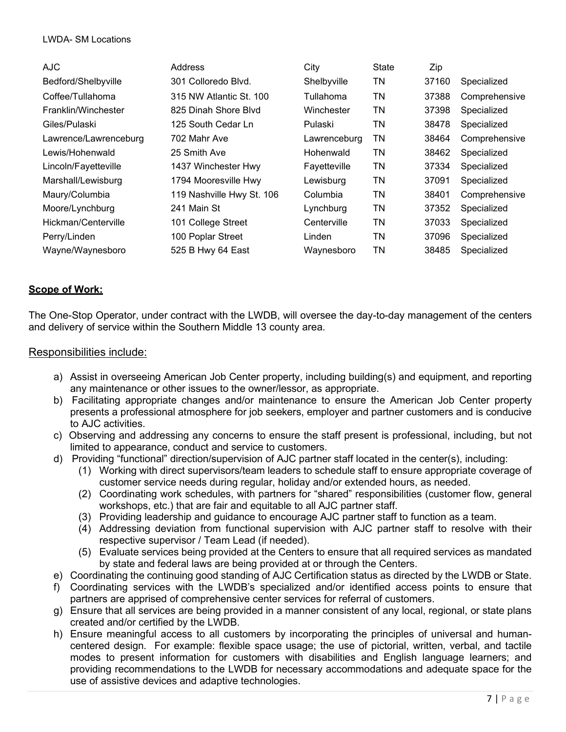#### LWDA- SM Locations

| <b>AJC</b>            | Address                   | City         | State | Zip   |               |
|-----------------------|---------------------------|--------------|-------|-------|---------------|
| Bedford/Shelbyville   | 301 Colloredo Blvd.       | Shelbyville  | ΤN    | 37160 | Specialized   |
| Coffee/Tullahoma      | 315 NW Atlantic St. 100   | Tullahoma    | ΤN    | 37388 | Comprehensive |
| Franklin/Winchester   | 825 Dinah Shore Blvd      | Winchester   | TN    | 37398 | Specialized   |
| Giles/Pulaski         | 125 South Cedar Ln        | Pulaski      | TN    | 38478 | Specialized   |
| Lawrence/Lawrenceburg | 702 Mahr Ave              | Lawrenceburg | ΤN    | 38464 | Comprehensive |
| Lewis/Hohenwald       | 25 Smith Ave              | Hohenwald    | TN    | 38462 | Specialized   |
| Lincoln/Fayetteville  | 1437 Winchester Hwy       | Fayetteville | TN    | 37334 | Specialized   |
| Marshall/Lewisburg    | 1794 Mooresville Hwy      | Lewisburg    | TN    | 37091 | Specialized   |
| Maury/Columbia        | 119 Nashville Hwy St. 106 | Columbia     | TN    | 38401 | Comprehensive |
| Moore/Lynchburg       | 241 Main St               | Lynchburg    | ΤN    | 37352 | Specialized   |
| Hickman/Centerville   | 101 College Street        | Centerville  | TN    | 37033 | Specialized   |
| Perry/Linden          | 100 Poplar Street         | Linden       | TN    | 37096 | Specialized   |
| Wayne/Waynesboro      | 525 B Hwy 64 East         | Waynesboro   | ΤN    | 38485 | Specialized   |

#### **Scope of Work:**

The One-Stop Operator, under contract with the LWDB, will oversee the day-to-day management of the centers and delivery of service within the Southern Middle 13 county area.

#### Responsibilities include:

- a) Assist in overseeing American Job Center property, including building(s) and equipment, and reporting any maintenance or other issues to the owner/lessor, as appropriate.
- b) Facilitating appropriate changes and/or maintenance to ensure the American Job Center property presents a professional atmosphere for job seekers, employer and partner customers and is conducive to AJC activities.
- c) Observing and addressing any concerns to ensure the staff present is professional, including, but not limited to appearance, conduct and service to customers.
- d) Providing "functional" direction/supervision of AJC partner staff located in the center(s), including:
	- (1) Working with direct supervisors/team leaders to schedule staff to ensure appropriate coverage of customer service needs during regular, holiday and/or extended hours, as needed.
	- (2) Coordinating work schedules, with partners for "shared" responsibilities (customer flow, general workshops, etc.) that are fair and equitable to all AJC partner staff.
	- (3) Providing leadership and guidance to encourage AJC partner staff to function as a team.
	- (4) Addressing deviation from functional supervision with AJC partner staff to resolve with their respective supervisor / Team Lead (if needed).
	- (5) Evaluate services being provided at the Centers to ensure that all required services as mandated by state and federal laws are being provided at or through the Centers.
- e) Coordinating the continuing good standing of AJC Certification status as directed by the LWDB or State.
- f) Coordinating services with the LWDB's specialized and/or identified access points to ensure that partners are apprised of comprehensive center services for referral of customers.
- g) Ensure that all services are being provided in a manner consistent of any local, regional, or state plans created and/or certified by the LWDB.
- h) Ensure meaningful access to all customers by incorporating the principles of universal and humancentered design. For example: flexible space usage; the use of pictorial, written, verbal, and tactile modes to present information for customers with disabilities and English language learners; and providing recommendations to the LWDB for necessary accommodations and adequate space for the use of assistive devices and adaptive technologies.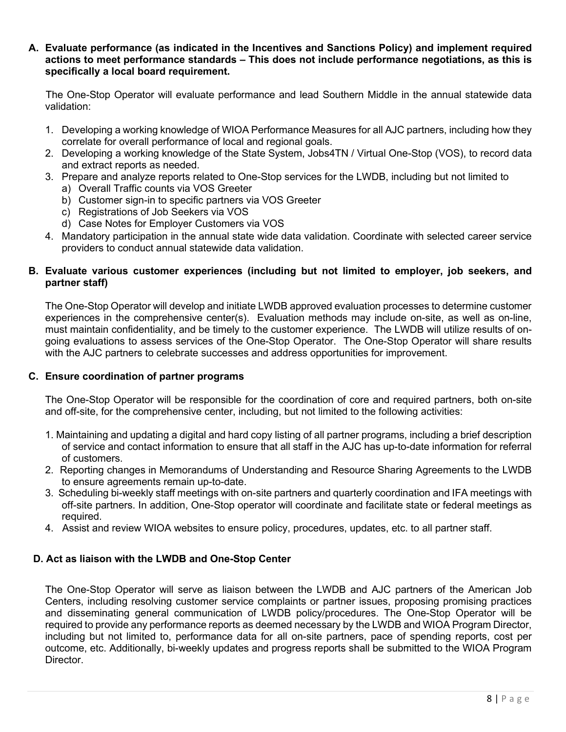**A. Evaluate performance (as indicated in the Incentives and Sanctions Policy) and implement required actions to meet performance standards – This does not include performance negotiations, as this is specifically a local board requirement.** 

 The One-Stop Operator will evaluate performance and lead Southern Middle in the annual statewide data validation:

- 1. Developing a working knowledge of WIOA Performance Measures for all AJC partners, including how they correlate for overall performance of local and regional goals.
- 2. Developing a working knowledge of the State System, Jobs4TN / Virtual One-Stop (VOS), to record data and extract reports as needed.
- 3. Prepare and analyze reports related to One-Stop services for the LWDB, including but not limited to
	- a) Overall Traffic counts via VOS Greeter
	- b) Customer sign-in to specific partners via VOS Greeter
	- c) Registrations of Job Seekers via VOS
	- d) Case Notes for Employer Customers via VOS
- 4. Mandatory participation in the annual state wide data validation. Coordinate with selected career service providers to conduct annual statewide data validation.

#### **B. Evaluate various customer experiences (including but not limited to employer, job seekers, and partner staff)**

The One-Stop Operator will develop and initiate LWDB approved evaluation processes to determine customer experiences in the comprehensive center(s). Evaluation methods may include on-site, as well as on-line, must maintain confidentiality, and be timely to the customer experience. The LWDB will utilize results of ongoing evaluations to assess services of the One-Stop Operator. The One-Stop Operator will share results with the AJC partners to celebrate successes and address opportunities for improvement.

#### **C. Ensure coordination of partner programs**

The One-Stop Operator will be responsible for the coordination of core and required partners, both on-site and off-site, for the comprehensive center, including, but not limited to the following activities:

- 1. Maintaining and updating a digital and hard copy listing of all partner programs, including a brief description of service and contact information to ensure that all staff in the AJC has up-to-date information for referral of customers.
- 2. Reporting changes in Memorandums of Understanding and Resource Sharing Agreements to the LWDB to ensure agreements remain up-to-date.
- 3. Scheduling bi-weekly staff meetings with on-site partners and quarterly coordination and IFA meetings with off-site partners. In addition, One-Stop operator will coordinate and facilitate state or federal meetings as required.
- 4. Assist and review WIOA websites to ensure policy, procedures, updates, etc. to all partner staff.

#### **D. Act as liaison with the LWDB and One-Stop Center**

The One-Stop Operator will serve as liaison between the LWDB and AJC partners of the American Job Centers, including resolving customer service complaints or partner issues, proposing promising practices and disseminating general communication of LWDB policy/procedures. The One-Stop Operator will be required to provide any performance reports as deemed necessary by the LWDB and WIOA Program Director, including but not limited to, performance data for all on-site partners, pace of spending reports, cost per outcome, etc. Additionally, bi-weekly updates and progress reports shall be submitted to the WIOA Program Director.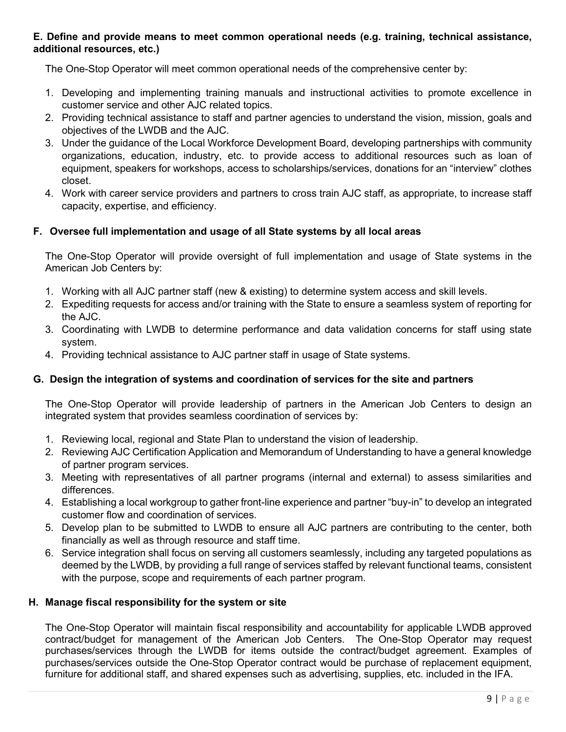#### **E. Define and provide means to meet common operational needs (e.g. training, technical assistance, additional resources, etc.)**

The One-Stop Operator will meet common operational needs of the comprehensive center by:

- 1. Developing and implementing training manuals and instructional activities to promote excellence in customer service and other AJC related topics.
- 2. Providing technical assistance to staff and partner agencies to understand the vision, mission, goals and objectives of the LWDB and the AJC.
- 3. Under the guidance of the Local Workforce Development Board, developing partnerships with community organizations, education, industry, etc. to provide access to additional resources such as loan of equipment, speakers for workshops, access to scholarships/services, donations for an "interview" clothes closet.
- 4. Work with career service providers and partners to cross train AJC staff, as appropriate, to increase staff capacity, expertise, and efficiency.

#### **F. Oversee full implementation and usage of all State systems by all local areas**

The One-Stop Operator will provide oversight of full implementation and usage of State systems in the American Job Centers by:

- 1. Working with all AJC partner staff (new & existing) to determine system access and skill levels.
- 2. Expediting requests for access and/or training with the State to ensure a seamless system of reporting for the AJC.
- 3. Coordinating with LWDB to determine performance and data validation concerns for staff using state system.
- 4. Providing technical assistance to AJC partner staff in usage of State systems.

#### **G. Design the integration of systems and coordination of services for the site and partners**

The One-Stop Operator will provide leadership of partners in the American Job Centers to design an integrated system that provides seamless coordination of services by:

- 1. Reviewing local, regional and State Plan to understand the vision of leadership.
- 2. Reviewing AJC Certification Application and Memorandum of Understanding to have a general knowledge of partner program services.
- 3. Meeting with representatives of all partner programs (internal and external) to assess similarities and differences.
- 4. Establishing a local workgroup to gather front-line experience and partner "buy-in" to develop an integrated customer flow and coordination of services.
- 5. Develop plan to be submitted to LWDB to ensure all AJC partners are contributing to the center, both financially as well as through resource and staff time.
- 6. Service integration shall focus on serving all customers seamlessly, including any targeted populations as deemed by the LWDB, by providing a full range of services staffed by relevant functional teams, consistent with the purpose, scope and requirements of each partner program.

#### **H. Manage fiscal responsibility for the system or site**

The One-Stop Operator will maintain fiscal responsibility and accountability for applicable LWDB approved contract/budget for management of the American Job Centers. The One-Stop Operator may request purchases/services through the LWDB for items outside the contract/budget agreement. Examples of purchases/services outside the One-Stop Operator contract would be purchase of replacement equipment, furniture for additional staff, and shared expenses such as advertising, supplies, etc. included in the IFA.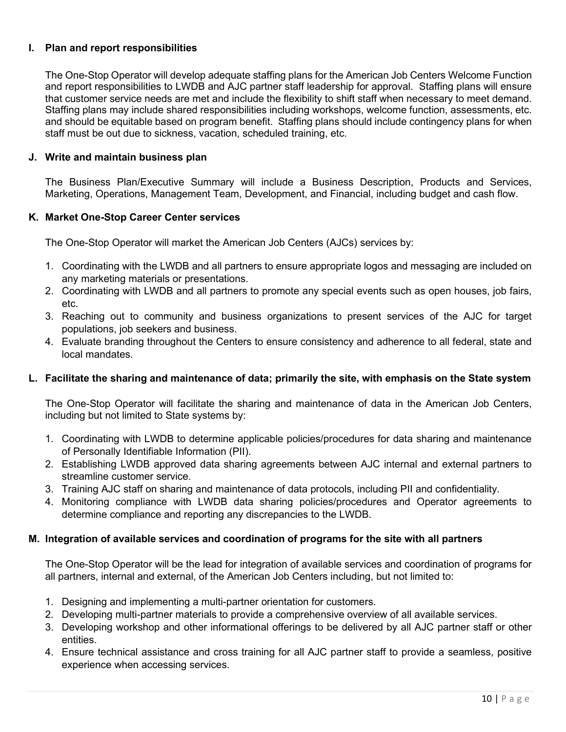#### **I. Plan and report responsibilities**

The One-Stop Operator will develop adequate staffing plans for the American Job Centers Welcome Function and report responsibilities to LWDB and AJC partner staff leadership for approval. Staffing plans will ensure that customer service needs are met and include the flexibility to shift staff when necessary to meet demand. Staffing plans may include shared responsibilities including workshops, welcome function, assessments, etc. and should be equitable based on program benefit. Staffing plans should include contingency plans for when staff must be out due to sickness, vacation, scheduled training, etc.

#### **J. Write and maintain business plan**

The Business Plan/Executive Summary will include a Business Description, Products and Services, Marketing, Operations, Management Team, Development, and Financial, including budget and cash flow.

#### **K. Market One-Stop Career Center services**

The One-Stop Operator will market the American Job Centers (AJCs) services by:

- 1. Coordinating with the LWDB and all partners to ensure appropriate logos and messaging are included on any marketing materials or presentations.
- 2. Coordinating with LWDB and all partners to promote any special events such as open houses, job fairs, etc.
- 3. Reaching out to community and business organizations to present services of the AJC for target populations, job seekers and business.
- 4. Evaluate branding throughout the Centers to ensure consistency and adherence to all federal, state and local mandates.

#### **L. Facilitate the sharing and maintenance of data; primarily the site, with emphasis on the State system**

The One-Stop Operator will facilitate the sharing and maintenance of data in the American Job Centers, including but not limited to State systems by:

- 1. Coordinating with LWDB to determine applicable policies/procedures for data sharing and maintenance of Personally Identifiable Information (PII).
- 2. Establishing LWDB approved data sharing agreements between AJC internal and external partners to streamline customer service.
- 3. Training AJC staff on sharing and maintenance of data protocols, including PII and confidentiality.
- 4. Monitoring compliance with LWDB data sharing policies/procedures and Operator agreements to determine compliance and reporting any discrepancies to the LWDB.

#### **M. Integration of available services and coordination of programs for the site with all partners**

The One-Stop Operator will be the lead for integration of available services and coordination of programs for all partners, internal and external, of the American Job Centers including, but not limited to:

- 1. Designing and implementing a multi-partner orientation for customers.
- 2. Developing multi-partner materials to provide a comprehensive overview of all available services.
- 3. Developing workshop and other informational offerings to be delivered by all AJC partner staff or other entities.
- 4. Ensure technical assistance and cross training for all AJC partner staff to provide a seamless, positive experience when accessing services.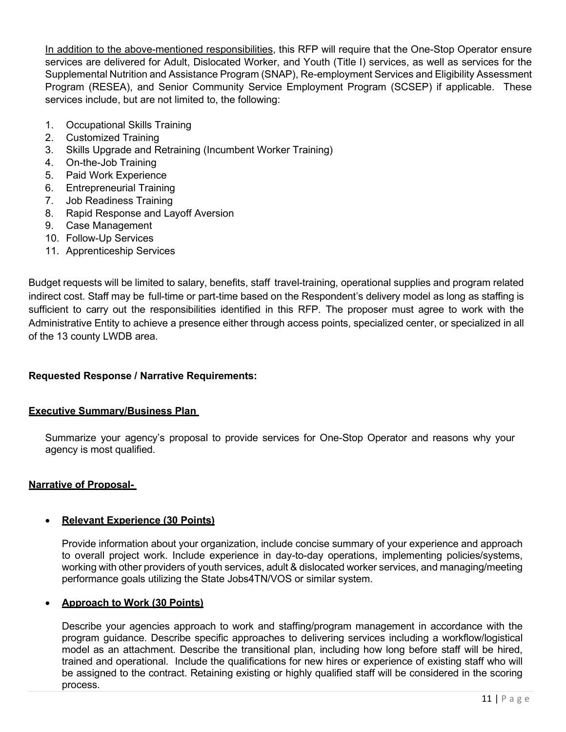In addition to the above-mentioned responsibilities, this RFP will require that the One-Stop Operator ensure services are delivered for Adult, Dislocated Worker, and Youth (Title I) services, as well as services for the Supplemental Nutrition and Assistance Program (SNAP), Re-employment Services and Eligibility Assessment Program (RESEA), and Senior Community Service Employment Program (SCSEP) if applicable. These services include, but are not limited to, the following:

- 1. Occupational Skills Training
- 2. Customized Training
- 3. Skills Upgrade and Retraining (Incumbent Worker Training)
- 4. On-the-Job Training
- 5. Paid Work Experience
- 6. Entrepreneurial Training
- 7. Job Readiness Training
- 8. Rapid Response and Layoff Aversion
- 9. Case Management
- 10. Follow-Up Services
- 11. Apprenticeship Services

Budget requests will be limited to salary, benefits, staff travel-training, operational supplies and program related indirect cost. Staff may be full-time or part-time based on the Respondent's delivery model as long as staffing is sufficient to carry out the responsibilities identified in this RFP. The proposer must agree to work with the Administrative Entity to achieve a presence either through access points, specialized center, or specialized in all of the 13 county LWDB area.

#### **Requested Response / Narrative Requirements:**

#### **Executive Summary/Business Plan**

Summarize your agency's proposal to provide services for One-Stop Operator and reasons why your agency is most qualified.

#### **Narrative of Proposal-**

#### • **Relevant Experience (30 Points)**

Provide information about your organization, include concise summary of your experience and approach to overall project work. Include experience in day-to-day operations, implementing policies/systems, working with other providers of youth services, adult & dislocated worker services, and managing/meeting performance goals utilizing the State Jobs4TN/VOS or similar system.

#### • **Approach to Work (30 Points)**

Describe your agencies approach to work and staffing/program management in accordance with the program guidance. Describe specific approaches to delivering services including a workflow/logistical model as an attachment. Describe the transitional plan, including how long before staff will be hired, trained and operational. Include the qualifications for new hires or experience of existing staff who will be assigned to the contract. Retaining existing or highly qualified staff will be considered in the scoring process.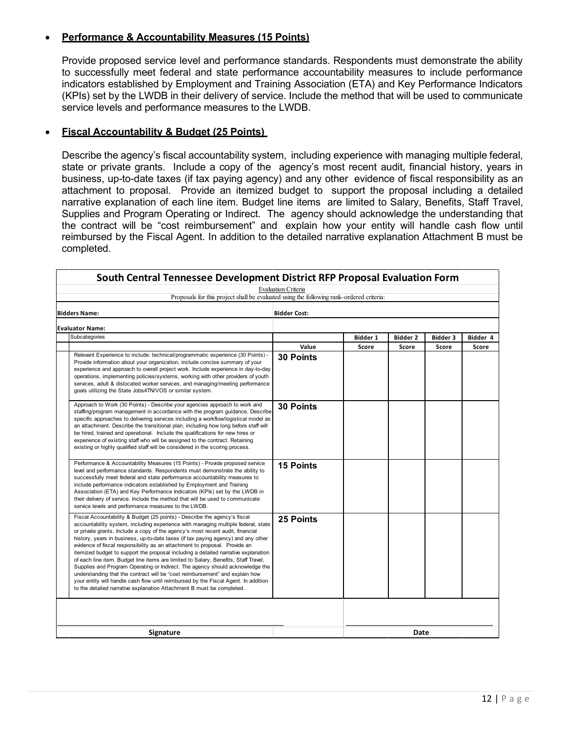#### • **Performance & Accountability Measures (15 Points)**

Provide proposed service level and performance standards. Respondents must demonstrate the ability to successfully meet federal and state performance accountability measures to include performance indicators established by Employment and Training Association (ETA) and Key Performance Indicators (KPIs) set by the LWDB in their delivery of service. Include the method that will be used to communicate service levels and performance measures to the LWDB.

#### • **Fiscal Accountability & Budget (25 Points)**

Describe the agency's fiscal accountability system, including experience with managing multiple federal, state or private grants. Include a copy of the agency's most recent audit, financial history, years in business, up-to-date taxes (if tax paying agency) and any other evidence of fiscal responsibility as an attachment to proposal. Provide an itemized budget to support the proposal including a detailed narrative explanation of each line item. Budget line items are limited to Salary, Benefits, Staff Travel, Supplies and Program Operating or Indirect. The agency should acknowledge the understanding that the contract will be "cost reimbursement" and explain how your entity will handle cash flow until reimbursed by the Fiscal Agent. In addition to the detailed narrative explanation Attachment B must be completed.

| South Central Tennessee Development District RFP Proposal Evaluation Form                                                                                                                                                                                                                                                                                                                                                                                                                                                                                                                                                                                                                                                                                                                                                                                                                                                         |                     |          |                 |                 |          |
|-----------------------------------------------------------------------------------------------------------------------------------------------------------------------------------------------------------------------------------------------------------------------------------------------------------------------------------------------------------------------------------------------------------------------------------------------------------------------------------------------------------------------------------------------------------------------------------------------------------------------------------------------------------------------------------------------------------------------------------------------------------------------------------------------------------------------------------------------------------------------------------------------------------------------------------|---------------------|----------|-----------------|-----------------|----------|
| <b>Evaluation Criteria</b>                                                                                                                                                                                                                                                                                                                                                                                                                                                                                                                                                                                                                                                                                                                                                                                                                                                                                                        |                     |          |                 |                 |          |
| Proposals for this project shall be evaluated using the following rank-ordered criteria:                                                                                                                                                                                                                                                                                                                                                                                                                                                                                                                                                                                                                                                                                                                                                                                                                                          |                     |          |                 |                 |          |
| <b>Bidders Name:</b>                                                                                                                                                                                                                                                                                                                                                                                                                                                                                                                                                                                                                                                                                                                                                                                                                                                                                                              | <b>Bidder Cost:</b> |          |                 |                 |          |
| <b>Evaluator Name:</b>                                                                                                                                                                                                                                                                                                                                                                                                                                                                                                                                                                                                                                                                                                                                                                                                                                                                                                            |                     |          |                 |                 |          |
| Subcategories                                                                                                                                                                                                                                                                                                                                                                                                                                                                                                                                                                                                                                                                                                                                                                                                                                                                                                                     |                     | Bidder 1 | <b>Bidder 2</b> | <b>Bidder 3</b> | Bidder 4 |
|                                                                                                                                                                                                                                                                                                                                                                                                                                                                                                                                                                                                                                                                                                                                                                                                                                                                                                                                   | Value               | Score    | Score           | Score           | Score    |
| Relevant Experience to include: technical/programmatic experience (30 Points) -<br>Provide information about your organization, include concise summary of your<br>experience and approach to overall project work. Include experience in day-to-day<br>operations, implementing policies/systems, working with other providers of youth<br>services, adult & dislocated worker services, and managing/meeting performance<br>goals utilizing the State Jobs4TN/VOS or similar system.                                                                                                                                                                                                                                                                                                                                                                                                                                            | <b>30 Points</b>    |          |                 |                 |          |
| Approach to Work (30 Points) - Describe your agencies approach to work and<br>staffing/program management in accordance with the program guidance. Describe<br>specific approaches to delivering services including a workflow/logistical model as<br>an attachment. Describe the transitional plan, including how long before staff will<br>be hired, trained and operational. Include the qualifications for new hires or<br>experience of existing staff who will be assigned to the contract. Retaining<br>existing or highly qualified staff will be considered in the scoring process.                                                                                                                                                                                                                                                                                                                                      | <b>30 Points</b>    |          |                 |                 |          |
| Performance & Accountability Measures (15 Points) - Provide proposed service<br>level and performance standards. Respondents must demonstrate the ability to<br>successfully meet federal and state performance accountability measures to<br>include performance indicators established by Employment and Training<br>Association (ETA) and Key Performance Indicators (KPIs) set by the LWDB in<br>their delivery of service. Include the method that will be used to communicate<br>service levels and performance measures to the LWDB.                                                                                                                                                                                                                                                                                                                                                                                       | <b>15 Points</b>    |          |                 |                 |          |
| Fiscal Accountability & Budget (25 points) - Describe the agency's fiscal<br>accountability system, including experience with managing multiple federal, state<br>or private grants. Include a copy of the agency's most recent audit, financial<br>history, years in business, up-to-date taxes (if tax paying agency) and any other<br>evidence of fiscal responsibility as an attachment to proposal. Provide an<br>itemized budget to support the proposal including a detailed narrative explanation<br>of each line item. Budget line items are limited to Salary, Benefits, Staff Travel,<br>Supplies and Program Operating or Indirect. The agency should acknowledge the<br>understanding that the contract will be "cost reimbursement" and explain how<br>your entity will handle cash flow until reimbursed by the Fiscal Agent. In addition<br>to the detailed narrative explanation Attachment B must be completed. | 25 Points           |          |                 |                 |          |
|                                                                                                                                                                                                                                                                                                                                                                                                                                                                                                                                                                                                                                                                                                                                                                                                                                                                                                                                   |                     |          |                 |                 |          |
| Signature                                                                                                                                                                                                                                                                                                                                                                                                                                                                                                                                                                                                                                                                                                                                                                                                                                                                                                                         |                     |          | Date            |                 |          |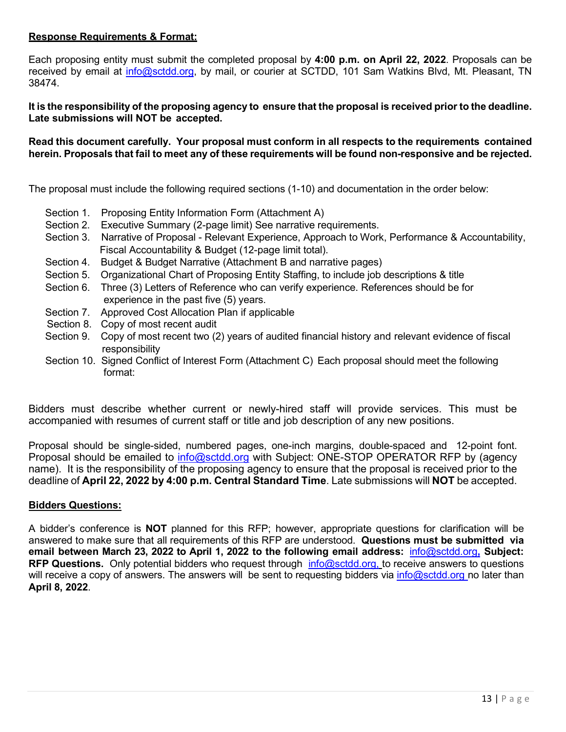#### **Response Requirements & Format:**

Each proposing entity must submit the completed proposal by **4:00 p.m. on April 22, 2022**. Proposals can be received by email at *info@sctdd.org*, by mail, or courier at SCTDD, 101 Sam Watkins Blvd, Mt. Pleasant, TN 38474.

**It is the responsibility of the proposing agency to ensure that the proposal is received prior to the deadline. Late submissions will NOT be accepted.**

#### **Read this document carefully. Your proposal must conform in all respects to the requirements contained herein. Proposals that fail to meet any of these requirements will be found non-responsive and be rejected.**

The proposal must include the following required sections (1-10) and documentation in the order below:

- Section 1. Proposing Entity Information Form (Attachment A)
- Section 2. Executive Summary (2-page limit) See narrative requirements.
- Section 3. Narrative of Proposal Relevant Experience, Approach to Work, Performance & Accountability, Fiscal Accountability & Budget (12-page limit total).
- Section 4. Budget & Budget Narrative (Attachment B and narrative pages)
- Section 5. Organizational Chart of Proposing Entity Staffing, to include job descriptions & title
- Section 6. Three (3) Letters of Reference who can verify experience. References should be for experience in the past five (5) years.
- Section 7. Approved Cost Allocation Plan if applicable
- Section 8. Copy of most recent audit
- Section 9. Copy of most recent two (2) years of audited financial history and relevant evidence of fiscal responsibility
- Section 10. Signed Conflict of Interest Form (Attachment C) Each proposal should meet the following format:

Bidders must describe whether current or newly-hired staff will provide services. This must be accompanied with resumes of current staff or title and job description of any new positions.

Proposal should be single-sided, numbered pages, one-inch margins, double-spaced and 12-point font. Proposal should be emailed to [info@sctdd.org](mailto:info@sctdd.org) with Subject: ONE-STOP OPERATOR RFP by (agency name). It is the responsibility of the proposing agency to ensure that the proposal is received prior to the deadline of **April 22, 2022 by 4:00 p.m. Central Standard Time**. Late submissions will **NOT** be accepted.

#### **Bidders Questions:**

A bidder's conference is **NOT** planned for this RFP; however, appropriate questions for clarification will be answered to make sure that all requirements of this RFP are understood. **Questions must be submitted via email between March 23, 2022 to April 1, 2022 to the following email address:** [info@sctdd.org](mailto:info@sctdd.org,)**, Subject: RFP Questions.** Only potential bidders who request through [info@sctdd.org,](mailto:OSORFP@nwtnworks.org) to receive answers to questions will receive a copy of answers. The answers will be sent to requesting bidders via [info@sctdd.org](mailto:info@sctdd.org) no later than **April 8, 2022**.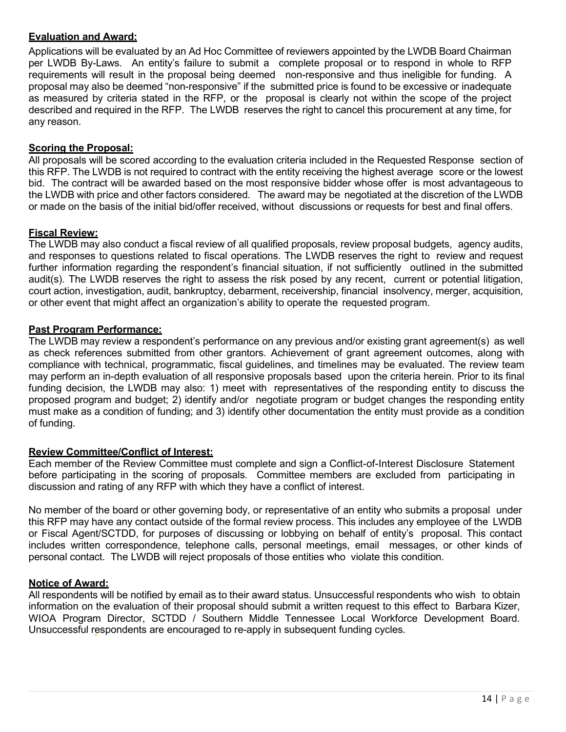#### **Evaluation and Award:**

Applications will be evaluated by an Ad Hoc Committee of reviewers appointed by the LWDB Board Chairman per LWDB By-Laws. An entity's failure to submit a complete proposal or to respond in whole to RFP requirements will result in the proposal being deemed non-responsive and thus ineligible for funding. A proposal may also be deemed "non-responsive" if the submitted price is found to be excessive or inadequate as measured by criteria stated in the RFP, or the proposal is clearly not within the scope of the project described and required in the RFP. The LWDB reserves the right to cancel this procurement at any time, for any reason.

#### **Scoring the Proposal:**

All proposals will be scored according to the evaluation criteria included in the Requested Response section of this RFP. The LWDB is not required to contract with the entity receiving the highest average score or the lowest bid. The contract will be awarded based on the most responsive bidder whose offer is most advantageous to the LWDB with price and other factors considered. The award may be negotiated at the discretion of the LWDB or made on the basis of the initial bid/offer received, without discussions or requests for best and final offers.

#### **Fiscal Review:**

The LWDB may also conduct a fiscal review of all qualified proposals, review proposal budgets, agency audits, and responses to questions related to fiscal operations. The LWDB reserves the right to review and request further information regarding the respondent's financial situation, if not sufficiently outlined in the submitted audit(s). The LWDB reserves the right to assess the risk posed by any recent, current or potential litigation, court action, investigation, audit, bankruptcy, debarment, receivership, financial insolvency, merger, acquisition, or other event that might affect an organization's ability to operate the requested program.

#### **Past Program Performance:**

The LWDB may review a respondent's performance on any previous and/or existing grant agreement(s) as well as check references submitted from other grantors. Achievement of grant agreement outcomes, along with compliance with technical, programmatic, fiscal guidelines, and timelines may be evaluated. The review team may perform an in-depth evaluation of all responsive proposals based upon the criteria herein. Prior to its final funding decision, the LWDB may also: 1) meet with representatives of the responding entity to discuss the proposed program and budget; 2) identify and/or negotiate program or budget changes the responding entity must make as a condition of funding; and 3) identify other documentation the entity must provide as a condition of funding.

#### **Review Committee/Conflict of Interest:**

Each member of the Review Committee must complete and sign a Conflict-of-Interest Disclosure Statement before participating in the scoring of proposals. Committee members are excluded from participating in discussion and rating of any RFP with which they have a conflict of interest.

No member of the board or other governing body, or representative of an entity who submits a proposal under this RFP may have any contact outside of the formal review process. This includes any employee of the LWDB or Fiscal Agent/SCTDD, for purposes of discussing or lobbying on behalf of entity's proposal. This contact includes written correspondence, telephone calls, personal meetings, email messages, or other kinds of personal contact. The LWDB will reject proposals of those entities who violate this condition.

#### **Notice of Award:**

All respondents will be notified by email as to their award status. Unsuccessful respondents who wish to obtain information on the evaluation of their proposal should submit a written request to this effect to Barbara Kizer, WIOA Program Director, SCTDD / Southern Middle Tennessee Local Workforce Development Board. Unsuccessful respondents are encouraged to re-apply in subsequent funding cycles.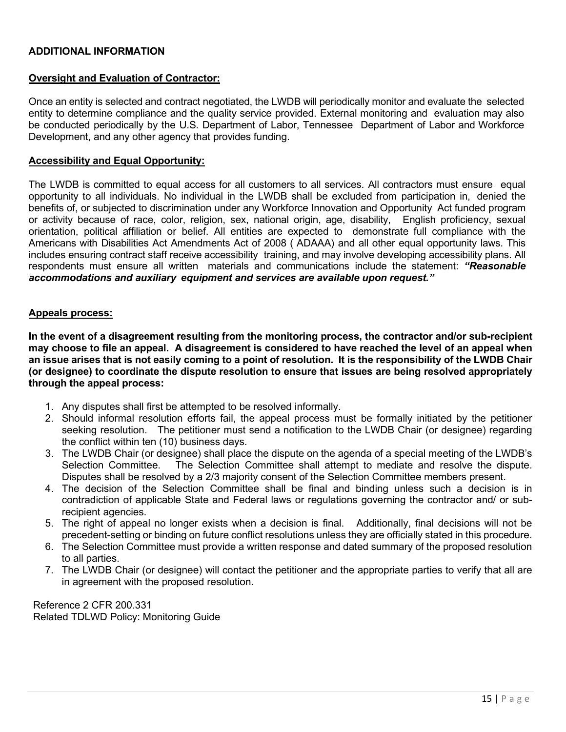#### **ADDITIONAL INFORMATION**

#### **Oversight and Evaluation of Contractor:**

Once an entity is selected and contract negotiated, the LWDB will periodically monitor and evaluate the selected entity to determine compliance and the quality service provided. External monitoring and evaluation may also be conducted periodically by the U.S. Department of Labor, Tennessee Department of Labor and Workforce Development, and any other agency that provides funding.

#### **Accessibility and Equal Opportunity:**

The LWDB is committed to equal access for all customers to all services. All contractors must ensure equal opportunity to all individuals. No individual in the LWDB shall be excluded from participation in, denied the benefits of, or subjected to discrimination under any Workforce Innovation and Opportunity Act funded program or activity because of race, color, religion, sex, national origin, age, disability, English proficiency, sexual orientation, political affiliation or belief. All entities are expected to demonstrate full compliance with the Americans with Disabilities Act Amendments Act of 2008 ( ADAAA) and all other equal opportunity laws. This includes ensuring contract staff receive accessibility training, and may involve developing accessibility plans. All respondents must ensure all written materials and communications include the statement: *"Reasonable accommodations and auxiliary equipment and services are available upon request."*

#### **Appeals process:**

**In the event of a disagreement resulting from the monitoring process, the contractor and/or sub-recipient may choose to file an appeal. A disagreement is considered to have reached the level of an appeal when an issue arises that is not easily coming to a point of resolution. It is the responsibility of the LWDB Chair (or designee) to coordinate the dispute resolution to ensure that issues are being resolved appropriately through the appeal process:** 

- 1. Any disputes shall first be attempted to be resolved informally.
- 2. Should informal resolution efforts fail, the appeal process must be formally initiated by the petitioner seeking resolution. The petitioner must send a notification to the LWDB Chair (or designee) regarding the conflict within ten (10) business days.
- 3. The LWDB Chair (or designee) shall place the dispute on the agenda of a special meeting of the LWDB's Selection Committee. The Selection Committee shall attempt to mediate and resolve the dispute. Disputes shall be resolved by a 2/3 majority consent of the Selection Committee members present.
- 4. The decision of the Selection Committee shall be final and binding unless such a decision is in contradiction of applicable State and Federal laws or regulations governing the contractor and/ or subrecipient agencies.
- 5. The right of appeal no longer exists when a decision is final. Additionally, final decisions will not be precedent-setting or binding on future conflict resolutions unless they are officially stated in this procedure.
- 6. The Selection Committee must provide a written response and dated summary of the proposed resolution to all parties.
- 7. The LWDB Chair (or designee) will contact the petitioner and the appropriate parties to verify that all are in agreement with the proposed resolution.

Reference 2 CFR 200.331 Related TDLWD Policy: Monitoring Guide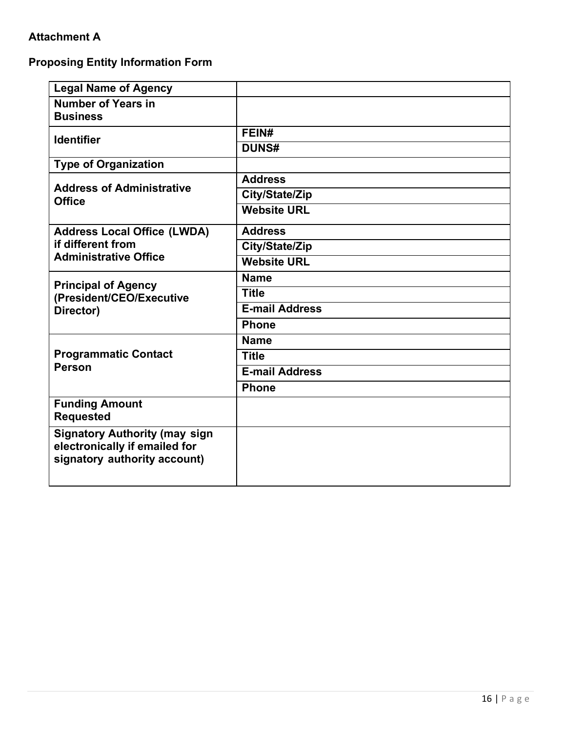## **Attachment A**

## **Proposing Entity Information Form**

| <b>Legal Name of Agency</b>                                                                           |                       |
|-------------------------------------------------------------------------------------------------------|-----------------------|
| <b>Number of Years in</b><br><b>Business</b>                                                          |                       |
| <b>Identifier</b>                                                                                     | FEIN#                 |
|                                                                                                       | <b>DUNS#</b>          |
| <b>Type of Organization</b>                                                                           |                       |
| <b>Address of Administrative</b><br><b>Office</b>                                                     | <b>Address</b>        |
|                                                                                                       | City/State/Zip        |
|                                                                                                       | <b>Website URL</b>    |
| <b>Address Local Office (LWDA)</b>                                                                    | <b>Address</b>        |
| if different from<br><b>Administrative Office</b>                                                     | City/State/Zip        |
|                                                                                                       | <b>Website URL</b>    |
|                                                                                                       | <b>Name</b>           |
| <b>Principal of Agency</b><br>(President/CEO/Executive<br>Director)                                   | <b>Title</b>          |
|                                                                                                       | <b>E-mail Address</b> |
|                                                                                                       | <b>Phone</b>          |
|                                                                                                       | <b>Name</b>           |
| <b>Programmatic Contact</b><br><b>Person</b>                                                          | <b>Title</b>          |
|                                                                                                       | <b>E-mail Address</b> |
|                                                                                                       | <b>Phone</b>          |
| <b>Funding Amount</b><br><b>Requested</b>                                                             |                       |
| <b>Signatory Authority (may sign</b><br>electronically if emailed for<br>signatory authority account) |                       |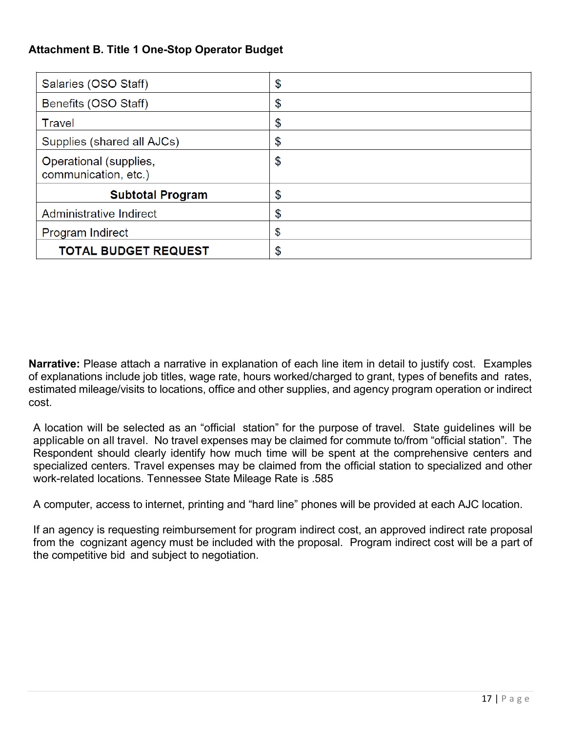## **Attachment B. Title 1 One-Stop Operator Budget**

| Salaries (OSO Staff)                           | \$ |
|------------------------------------------------|----|
| Benefits (OSO Staff)                           | \$ |
| Travel                                         | \$ |
| Supplies (shared all AJCs)                     | \$ |
| Operational (supplies,<br>communication, etc.) | \$ |
| <b>Subtotal Program</b>                        | \$ |
| Administrative Indirect                        | \$ |
| Program Indirect                               | \$ |
| <b>TOTAL BUDGET REQUEST</b>                    | \$ |

**Narrative:** Please attach a narrative in explanation of each line item in detail to justify cost. Examples of explanations include job titles, wage rate, hours worked/charged to grant, types of benefits and rates, estimated mileage/visits to locations, office and other supplies, and agency program operation or indirect cost.

A location will be selected as an "official station" for the purpose of travel. State guidelines will be applicable on all travel. No travel expenses may be claimed for commute to/from "official station". The Respondent should clearly identify how much time will be spent at the comprehensive centers and specialized centers. Travel expenses may be claimed from the official station to specialized and other work-related locations. Tennessee State Mileage Rate is .585

A computer, access to internet, printing and "hard line" phones will be provided at each AJC location.

If an agency is requesting reimbursement for program indirect cost, an approved indirect rate proposal from the cognizant agency must be included with the proposal. Program indirect cost will be a part of the competitive bid and subject to negotiation.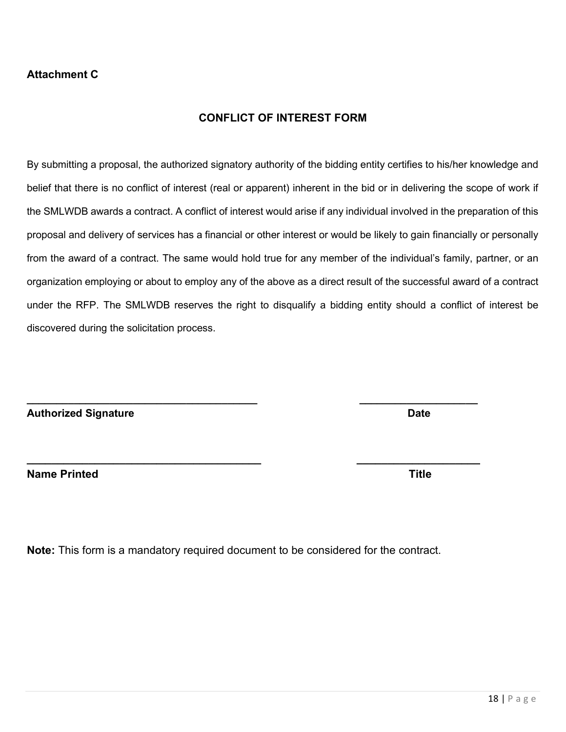### **Attachment C**

### **CONFLICT OF INTEREST FORM**

By submitting a proposal, the authorized signatory authority of the bidding entity certifies to his/her knowledge and belief that there is no conflict of interest (real or apparent) inherent in the bid or in delivering the scope of work if the SMLWDB awards a contract. A conflict of interest would arise if any individual involved in the preparation of this proposal and delivery of services has a financial or other interest or would be likely to gain financially or personally from the award of a contract. The same would hold true for any member of the individual's family, partner, or an organization employing or about to employ any of the above as a direct result of the successful award of a contract under the RFP. The SMLWDB reserves the right to disqualify a bidding entity should a conflict of interest be discovered during the solicitation process.

**\_\_\_\_\_\_\_\_\_\_\_\_\_\_\_\_\_\_\_\_\_\_\_\_\_\_\_\_\_\_\_\_\_\_\_\_\_\_ \_\_\_\_\_\_\_\_\_\_\_\_\_\_\_\_\_\_\_\_**

**Note:** This form is a mandatory required document to be considered for the contract.

Authorized Signature **Date** 

**Name Printed Title** 

**\_\_\_\_\_\_\_\_\_\_\_\_\_\_\_\_\_\_\_\_\_\_\_\_\_\_\_\_\_\_\_\_\_\_\_\_\_\_\_ \_\_\_\_\_\_\_\_\_\_\_\_\_\_\_\_\_\_\_\_**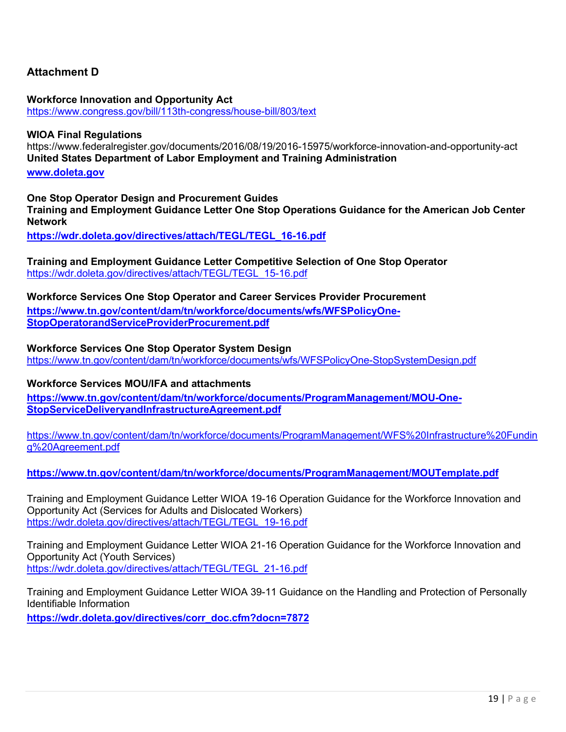#### **Attachment D**

**Workforce Innovation and Opportunity Act**  <https://www.congress.gov/bill/113th-congress/house-bill/803/text>

#### **WIOA Final Regulations**

https://www.federalregister.gov/documents/2016/08/19/2016-15975/workforce-innovation-and-opportunity-act **United States Department of Labor Employment and Training Administration** 

#### **[www.doleta.gov](http://www.doleta.gov/)**

**One Stop Operator Design and Procurement Guides** 

**Training and Employment Guidance Letter One Stop Operations Guidance for the American Job Center Network** 

**[https://wdr.doleta.gov/directives/attach/TEGL/TEGL\\_16-16.pdf](https://wdr.doleta.gov/directives/attach/TEGL/TEGL_16-16.pdf)**

**Training and Employment Guidance Letter Competitive Selection of One Stop Operator**  [https://wdr.doleta.gov/directives/attach/TEGL/TEGL\\_15-16.pdf](https://wdr.doleta.gov/directives/attach/TEGL/TEGL_15-16.pdf)

#### **Workforce Services One Stop Operator and Career Services Provider Procurement**

**[https://www.tn.gov/content/dam/tn/workforce/documents/wfs/WFSPolicyOne-](https://www.tn.gov/content/dam/tn/workforce/documents/wfs/WFSPolicyOne-StopOperatorandServiceProviderProcurement.pdf)[StopOperatorandServiceProviderProcurement.pdf](https://www.tn.gov/content/dam/tn/workforce/documents/wfs/WFSPolicyOne-StopOperatorandServiceProviderProcurement.pdf)**

**Workforce Services One Stop Operator System Design**  <https://www.tn.gov/content/dam/tn/workforce/documents/wfs/WFSPolicyOne-StopSystemDesign.pdf>

#### **Workforce Services MOU/IFA and attachments**

**[https://www.tn.gov/content/dam/tn/workforce/documents/ProgramManagement/MOU-One-](https://www.tn.gov/content/dam/tn/workforce/documents/ProgramManagement/MOU-One-StopServiceDeliveryandInfrastructureAgreement.pdf)[StopServiceDeliveryandInfrastructureAgreement.pdf](https://www.tn.gov/content/dam/tn/workforce/documents/ProgramManagement/MOU-One-StopServiceDeliveryandInfrastructureAgreement.pdf)**

[https://www.tn.gov/content/dam/tn/workforce/documents/ProgramManagement/WFS%20Infrastructure%20Fundin](https://www.tn.gov/content/dam/tn/workforce/documents/ProgramManagement/WFS%20Infrastructure%20Funding%20Agreement.pdf) [g%20Agreement.pdf](https://www.tn.gov/content/dam/tn/workforce/documents/ProgramManagement/WFS%20Infrastructure%20Funding%20Agreement.pdf)

**<https://www.tn.gov/content/dam/tn/workforce/documents/ProgramManagement/MOUTemplate.pdf>**

Training and Employment Guidance Letter WIOA 19-16 Operation Guidance for the Workforce Innovation and Opportunity Act (Services for Adults and Dislocated Workers) [https://wdr.doleta.gov/directives/attach/TEGL/TEGL\\_19-16.pdf](https://wdr.doleta.gov/directives/attach/TEGL/TEGL_19-16.pdf)

Training and Employment Guidance Letter WIOA 21-16 Operation Guidance for the Workforce Innovation and Opportunity Act (Youth Services) [https://wdr.doleta.gov/directives/attach/TEGL/TEGL\\_21-16.pdf](https://wdr.doleta.gov/directives/attach/TEGL/TEGL_21-16.pdf)

Training and Employment Guidance Letter WIOA 39-11 Guidance on the Handling and Protection of Personally Identifiable Information

**[https://wdr.doleta.gov/directives/corr\\_doc.cfm?docn=7872](https://wdr.doleta.gov/directives/corr_doc.cfm?docn=7872)**